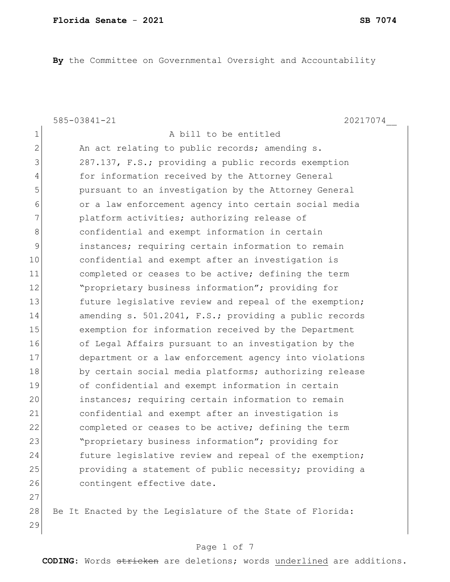**By** the Committee on Governmental Oversight and Accountability

585-03841-21 20217074\_\_

1 a bill to be entitled 2 An act relating to public records; amending s. 3 287.137, F.S.; providing a public records exemption 4 for information received by the Attorney General 5 **pursuant to an investigation by the Attorney General** 6 or a law enforcement agency into certain social media 7 **platform activities; authorizing release of** 8 8 8 confidential and exempt information in certain 9 instances; requiring certain information to remain 10 confidential and exempt after an investigation is 11 11 completed or ceases to be active; defining the term 12 **"**proprietary business information"; providing for 13 future legislative review and repeal of the exemption; 14 amending s. 501.2041, F.S.; providing a public records 15 exemption for information received by the Department 16 of Legal Affairs pursuant to an investigation by the 17 department or a law enforcement agency into violations 18 by certain social media platforms; authorizing release 19 of confidential and exempt information in certain 20 instances; requiring certain information to remain 21 confidential and exempt after an investigation is 22 completed or ceases to be active; defining the term 23 "proprietary business information"; providing for 24 future legislative review and repeal of the exemption; 25 providing a statement of public necessity; providing a 26 contingent effective date. 27

28 Be It Enacted by the Legislature of the State of Florida: 29

### Page 1 of 7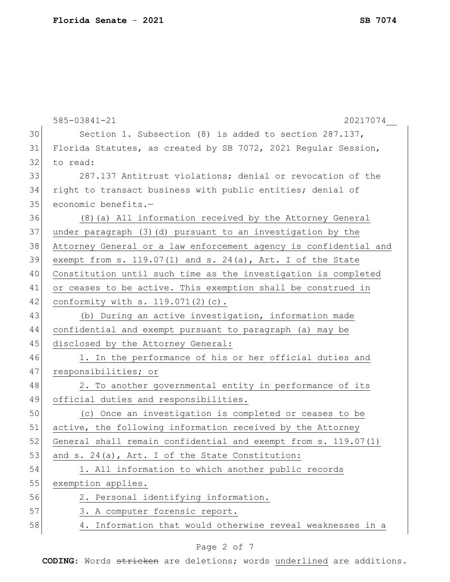|    | $585 - 03841 - 21$<br>20217074                                   |
|----|------------------------------------------------------------------|
| 30 | Section 1. Subsection (8) is added to section $287.137$ ,        |
| 31 | Florida Statutes, as created by SB 7072, 2021 Regular Session,   |
| 32 | to read:                                                         |
| 33 | 287.137 Antitrust violations; denial or revocation of the        |
| 34 | right to transact business with public entities; denial of       |
| 35 | economic benefits.-                                              |
| 36 | (8) (a) All information received by the Attorney General         |
| 37 | under paragraph (3) (d) pursuant to an investigation by the      |
| 38 | Attorney General or a law enforcement agency is confidential and |
| 39 | exempt from s. $119.07(1)$ and s. $24(a)$ , Art. I of the State  |
| 40 | Constitution until such time as the investigation is completed   |
| 41 | or ceases to be active. This exemption shall be construed in     |
| 42 | conformity with $s. 119.071(2)$ (c).                             |
| 43 | (b) During an active investigation, information made             |
| 44 | confidential and exempt pursuant to paragraph (a) may be         |
| 45 | disclosed by the Attorney General:                               |
| 46 | 1. In the performance of his or her official duties and          |
| 47 | responsibilities; or                                             |
| 48 | 2. To another governmental entity in performance of its          |
| 49 | official duties and responsibilities.                            |
| 50 | (c) Once an investigation is completed or ceases to be           |
| 51 | active, the following information received by the Attorney       |
| 52 | General shall remain confidential and exempt from s. 119.07(1)   |
| 53 | and s. 24(a), Art. I of the State Constitution:                  |
| 54 | 1. All information to which another public records               |
| 55 | exemption applies.                                               |
| 56 | 2. Personal identifying information.                             |
| 57 | 3. A computer forensic report.                                   |
| 58 | 4. Information that would otherwise reveal weaknesses in a       |
|    |                                                                  |

# Page 2 of 7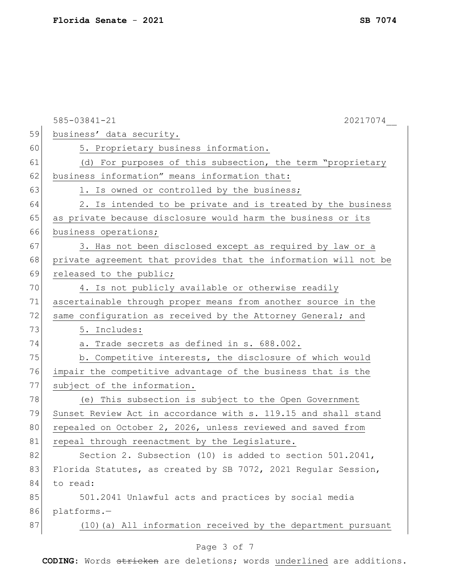|    | $585 - 03841 - 21$<br>20217074                                   |
|----|------------------------------------------------------------------|
| 59 | business' data security.                                         |
| 60 | 5. Proprietary business information.                             |
| 61 | (d) For purposes of this subsection, the term "proprietary       |
| 62 | business information" means information that:                    |
| 63 | 1. Is owned or controlled by the business;                       |
| 64 | 2. Is intended to be private and is treated by the business      |
| 65 | as private because disclosure would harm the business or its     |
| 66 | business operations;                                             |
| 67 | 3. Has not been disclosed except as required by law or a         |
| 68 | private agreement that provides that the information will not be |
| 69 | released to the public;                                          |
| 70 | 4. Is not publicly available or otherwise readily                |
| 71 | ascertainable through proper means from another source in the    |
| 72 | same configuration as received by the Attorney General; and      |
| 73 | 5. Includes:                                                     |
| 74 | a. Trade secrets as defined in s. 688.002.                       |
| 75 | b. Competitive interests, the disclosure of which would          |
| 76 | impair the competitive advantage of the business that is the     |
| 77 | subject of the information.                                      |
| 78 | (e) This subsection is subject to the Open Government            |
| 79 | Sunset Review Act in accordance with s. 119.15 and shall stand   |
| 80 | repealed on October 2, 2026, unless reviewed and saved from      |
| 81 | repeal through reenactment by the Legislature.                   |
| 82 | Section 2. Subsection (10) is added to section 501.2041,         |
| 83 | Florida Statutes, as created by SB 7072, 2021 Regular Session,   |
| 84 | to read:                                                         |
| 85 | 501.2041 Unlawful acts and practices by social media             |
| 86 | platforms.-                                                      |
| 87 | (10) (a) All information received by the department pursuant     |
|    | Page 3 of 7                                                      |
|    |                                                                  |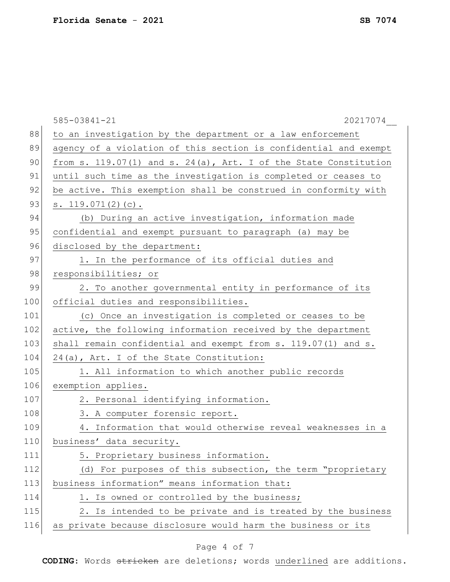|     | 585-03841-21<br>20217074                                          |
|-----|-------------------------------------------------------------------|
| 88  | to an investigation by the department or a law enforcement        |
| 89  | agency of a violation of this section is confidential and exempt  |
| 90  | from s. 119.07(1) and s. 24(a), Art. I of the State Constitution  |
| 91  | until such time as the investigation is completed or ceases to    |
| 92  | be active. This exemption shall be construed in conformity with   |
| 93  | s. $119.071(2)(c)$ .                                              |
| 94  | (b) During an active investigation, information made              |
| 95  | confidential and exempt pursuant to paragraph (a) may be          |
| 96  | disclosed by the department:                                      |
| 97  | 1. In the performance of its official duties and                  |
| 98  | responsibilities; or                                              |
| 99  | 2. To another governmental entity in performance of its           |
| 100 | official duties and responsibilities.                             |
| 101 | (c) Once an investigation is completed or ceases to be            |
| 102 | active, the following information received by the department      |
| 103 | shall remain confidential and exempt from $s. 119.07(1)$ and $s.$ |
| 104 | 24(a), Art. I of the State Constitution:                          |
| 105 | 1. All information to which another public records                |
| 106 | exemption applies.                                                |
| 107 | 2. Personal identifying information.                              |
| 108 | 3. A computer forensic report.                                    |
| 109 | 4. Information that would otherwise reveal weaknesses in a        |
| 110 | business' data security.                                          |
| 111 | 5. Proprietary business information.                              |
| 112 | (d) For purposes of this subsection, the term "proprietary        |
| 113 | business information" means information that:                     |
| 114 | 1. Is owned or controlled by the business;                        |
| 115 | 2. Is intended to be private and is treated by the business       |
| 116 | as private because disclosure would harm the business or its      |
|     |                                                                   |

# Page 4 of 7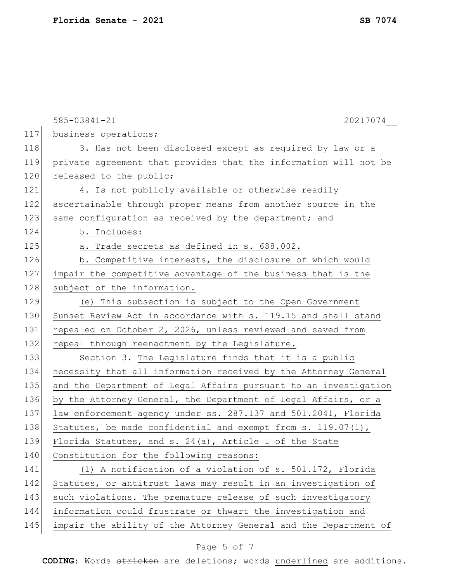|     | 20217074<br>$585 - 03841 - 21$                                   |
|-----|------------------------------------------------------------------|
| 117 | business operations;                                             |
| 118 | 3. Has not been disclosed except as required by law or a         |
| 119 | private agreement that provides that the information will not be |
| 120 | released to the public;                                          |
| 121 | 4. Is not publicly available or otherwise readily                |
| 122 | ascertainable through proper means from another source in the    |
| 123 | same configuration as received by the department; and            |
| 124 | 5. Includes:                                                     |
| 125 | a. Trade secrets as defined in s. 688.002.                       |
| 126 | b. Competitive interests, the disclosure of which would          |
| 127 | impair the competitive advantage of the business that is the     |
| 128 | subject of the information.                                      |
| 129 | (e) This subsection is subject to the Open Government            |
| 130 | Sunset Review Act in accordance with s. 119.15 and shall stand   |
| 131 | repealed on October 2, 2026, unless reviewed and saved from      |
| 132 | repeal through reenactment by the Legislature.                   |
| 133 | Section 3. The Legislature finds that it is a public             |
| 134 | necessity that all information received by the Attorney General  |
| 135 | and the Department of Legal Affairs pursuant to an investigation |
| 136 | by the Attorney General, the Department of Legal Affairs, or a   |
| 137 | law enforcement agency under ss. 287.137 and 501.2041, Florida   |
| 138 | Statutes, be made confidential and exempt from s. $119.07(1)$ ,  |
| 139 | Florida Statutes, and s. 24(a), Article I of the State           |
| 140 | Constitution for the following reasons:                          |
| 141 | (1) A notification of a violation of s. 501.172, Florida         |
| 142 | Statutes, or antitrust laws may result in an investigation of    |
| 143 | such violations. The premature release of such investigatory     |
| 144 | information could frustrate or thwart the investigation and      |
| 145 | impair the ability of the Attorney General and the Department of |

# Page 5 of 7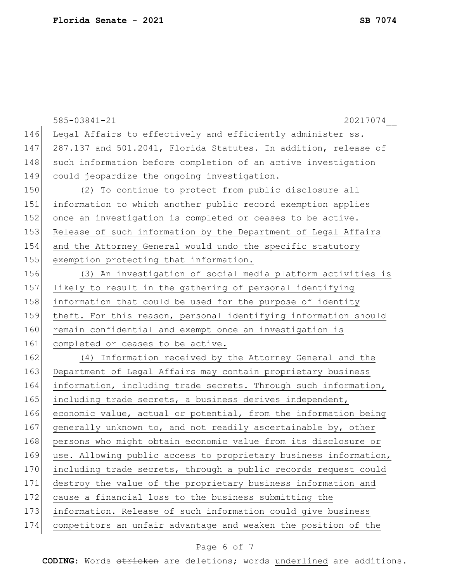|     | $585 - 03841 - 21$<br>20217074                                   |
|-----|------------------------------------------------------------------|
| 146 | Legal Affairs to effectively and efficiently administer ss.      |
| 147 | 287.137 and 501.2041, Florida Statutes. In addition, release of  |
| 148 | such information before completion of an active investigation    |
| 149 | could jeopardize the ongoing investigation.                      |
| 150 | (2) To continue to protect from public disclosure all            |
| 151 | information to which another public record exemption applies     |
| 152 | once an investigation is completed or ceases to be active.       |
| 153 | Release of such information by the Department of Legal Affairs   |
| 154 | and the Attorney General would undo the specific statutory       |
| 155 | exemption protecting that information.                           |
| 156 | (3) An investigation of social media platform activities is      |
| 157 | likely to result in the gathering of personal identifying        |
| 158 | information that could be used for the purpose of identity       |
| 159 | theft. For this reason, personal identifying information should  |
| 160 | remain confidential and exempt once an investigation is          |
| 161 | completed or ceases to be active.                                |
| 162 | (4) Information received by the Attorney General and the         |
| 163 | Department of Legal Affairs may contain proprietary business     |
| 164 | information, including trade secrets. Through such information,  |
| 165 | including trade secrets, a business derives independent,         |
| 166 | economic value, actual or potential, from the information being  |
| 167 | generally unknown to, and not readily ascertainable by, other    |
| 168 | persons who might obtain economic value from its disclosure or   |
| 169 | use. Allowing public access to proprietary business information, |
| 170 | including trade secrets, through a public records request could  |
| 171 | destroy the value of the proprietary business information and    |
| 172 | cause a financial loss to the business submitting the            |
| 173 | information. Release of such information could give business     |
| 174 | competitors an unfair advantage and weaken the position of the   |
|     |                                                                  |

# Page 6 of 7